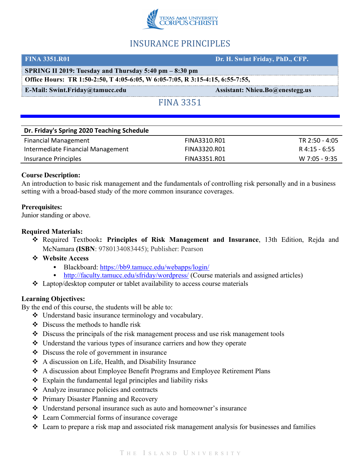

# INSURANCE PRINCIPLES

| <b>FINA 3351.R01</b>                                                          | Dr. H. Swint Friday, PhD., CFP.        |  |
|-------------------------------------------------------------------------------|----------------------------------------|--|
| SPRING II 2019: Tuesday and Thursday 5:40 pm – 8:30 pm                        |                                        |  |
| Office Hours: TR 1:50-2:50, T 4:05-6:05, W 6:05-7:05, R 3:15-4:15, 6:55-7:55, |                                        |  |
| <b>E-Mail: Swint.Friday@tamucc.edu</b>                                        | <b>Assistant: Nhieu.Bo@enestegg.us</b> |  |
| <b>FINA 3351</b>                                                              |                                        |  |

| Dr. Friday's Spring 2020 Teaching Schedule |              |                |
|--------------------------------------------|--------------|----------------|
| <b>Financial Management</b>                | FINA3310.R01 | TR 2:50 - 4:05 |
| Intermediate Financial Management          | FINA3320.R01 | R 4:15 - 6:55  |
| Insurance Principles                       | FINA3351.R01 | W 7:05 - 9:35  |

## **Course Description:**

An introduction to basic risk management and the fundamentals of controlling risk personally and in a business setting with a broad-based study of the more common insurance coverages.

## **Prerequisites:**

Junior standing or above.

## **Required Materials:**

- v Required Textbook**: Principles of Risk Management and Insurance**, 13th Edition, Rejda and McNamara **(ISBN**: 9780134083445); Publisher: Pearson
- v **Website Access**
	- Blackboard: https://bb9.tamucc.edu/webapps/login/
	- http://faculty.tamucc.edu/sfriday/wordpress/ (Course materials and assigned articles)
- $\triangleleft$  Laptop/desktop computer or tablet availability to access course materials

## **Learning Objectives:**

By the end of this course, the students will be able to:

- $\triangle$  Understand basic insurance terminology and vocabulary.
- $\triangle$  Discuss the methods to handle risk
- $\triangle$  Discuss the principals of the risk management process and use risk management tools
- $\triangleleft$  Understand the various types of insurance carriers and how they operate
- $\triangle$  Discuss the role of government in insurance
- v A discussion on Life, Health, and Disability Insurance
- v A discussion about Employee Benefit Programs and Employee Retirement Plans
- $\triangle$  Explain the fundamental legal principles and liability risks
- $\triangleleft$  Analyze insurance policies and contracts
- ❖ Primary Disaster Planning and Recovery
- v Understand personal insurance such as auto and homeowner's insurance
- v Learn Commercial forms of insurance coverage
- $\triangle$  Learn to prepare a risk map and associated risk management analysis for businesses and families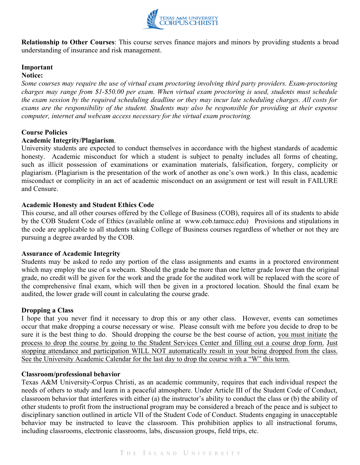

**Relationship to Other Courses**: This course serves finance majors and minors by providing students a broad understanding of insurance and risk management.

## **Important**

## **Notice:**

*Some courses may require the use of virtual exam proctoring involving third party providers. Exam-proctoring charges may range from \$1-\$50.00 per exam. When virtual exam proctoring is used, students must schedule the exam session by the required scheduling deadline or they may incur late scheduling charges. All costs for exams are the responsibility of the student. Students may also be responsible for providing at their expense computer, internet and webcam access necessary for the virtual exam proctoring.*

## **Course Policies**

### **Academic Integrity/Plagiarism**.

University students are expected to conduct themselves in accordance with the highest standards of academic honesty. Academic misconduct for which a student is subject to penalty includes all forms of cheating, such as illicit possession of examinations or examination materials, falsification, forgery, complicity or plagiarism. (Plagiarism is the presentation of the work of another as one's own work.) In this class, academic misconduct or complicity in an act of academic misconduct on an assignment or test will result in FAILURE and Censure.

## **Academic Honesty and Student Ethics Code**

This course, and all other courses offered by the College of Business (COB), requires all of its students to abide by the COB Student Code of Ethics (available online at www.cob.tamucc.edu) Provisions and stipulations in the code are applicable to all students taking College of Business courses regardless of whether or not they are pursuing a degree awarded by the COB.

#### **Assurance of Academic Integrity**

Students may be asked to redo any portion of the class assignments and exams in a proctored environment which may employ the use of a webcam. Should the grade be more than one letter grade lower than the original grade, no credit will be given for the work and the grade for the audited work will be replaced with the score of the comprehensive final exam, which will then be given in a proctored location. Should the final exam be audited, the lower grade will count in calculating the course grade.

#### **Dropping a Class**

I hope that you never find it necessary to drop this or any other class. However, events can sometimes occur that make dropping a course necessary or wise. Please consult with me before you decide to drop to be sure it is the best thing to do. Should dropping the course be the best course of action, you must initiate the process to drop the course by going to the Student Services Center and filling out a course drop form. Just stopping attendance and participation WILL NOT automatically result in your being dropped from the class. See the University Academic Calendar for the last day to drop the course with a "W" this term.

#### **Classroom/professional behavior**

Texas A&M University-Corpus Christi, as an academic community, requires that each individual respect the needs of others to study and learn in a peaceful atmosphere. Under Article III of the Student Code of Conduct, classroom behavior that interferes with either (a) the instructor's ability to conduct the class or (b) the ability of other students to profit from the instructional program may be considered a breach of the peace and is subject to disciplinary sanction outlined in article VII of the Student Code of Conduct. Students engaging in unacceptable behavior may be instructed to leave the classroom. This prohibition applies to all instructional forums, including classrooms, electronic classrooms, labs, discussion groups, field trips, etc.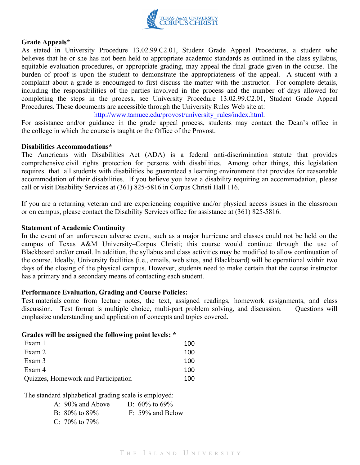

## **Grade Appeals\***

As stated in University Procedure 13.02.99.C2.01, Student Grade Appeal Procedures, a student who believes that he or she has not been held to appropriate academic standards as outlined in the class syllabus, equitable evaluation procedures, or appropriate grading, may appeal the final grade given in the course. The burden of proof is upon the student to demonstrate the appropriateness of the appeal. A student with a complaint about a grade is encouraged to first discuss the matter with the instructor. For complete details, including the responsibilities of the parties involved in the process and the number of days allowed for completing the steps in the process, see University Procedure 13.02.99.C2.01, Student Grade Appeal Procedures. These documents are accessible through the University Rules Web site at:

### http://www.tamucc.edu/provost/university\_rules/index.html.

For assistance and/or guidance in the grade appeal process, students may contact the Dean's office in the college in which the course is taught or the Office of the Provost.

#### **Disabilities Accommodations\***

The Americans with Disabilities Act (ADA) is a federal anti-discrimination statute that provides comprehensive civil rights protection for persons with disabilities. Among other things, this legislation requires that all students with disabilities be guaranteed a learning environment that provides for reasonable accommodation of their disabilities. If you believe you have a disability requiring an accommodation, please call or visit Disability Services at (361) 825-5816 in Corpus Christi Hall 116.

If you are a returning veteran and are experiencing cognitive and/or physical access issues in the classroom or on campus, please contact the Disability Services office for assistance at (361) 825-5816.

#### **Statement of Academic Continuity**

In the event of an unforeseen adverse event, such as a major hurricane and classes could not be held on the campus of Texas A&M University–Corpus Christi; this course would continue through the use of Blackboard and/or email. In addition, the syllabus and class activities may be modified to allow continuation of the course. Ideally, University facilities (i.e., emails, web sites, and Blackboard) will be operational within two days of the closing of the physical campus. However, students need to make certain that the course instructor has a primary and a secondary means of contacting each student.

## **Performance Evaluation, Grading and Course Policies:**

Test materials come from lecture notes, the text, assigned readings, homework assignments, and class discussion. Test format is multiple choice, multi-part problem solving, and discussion. Questions will emphasize understanding and application of concepts and topics covered.

#### **Grades will be assigned the following point levels: \***

| Exam 1                              | 100 |
|-------------------------------------|-----|
| Exam 2                              | 100 |
| Exam 3                              | 100 |
| Exam 4                              | 100 |
| Quizzes, Homework and Participation | 100 |

The standard alphabetical grading scale is employed:

| A: $90\%$ and Above | D: $60\%$ to $69\%$ |
|---------------------|---------------------|
| B: $80\%$ to $89\%$ | $F: 59\%$ and Below |
| C: 70\% to 79\%     |                     |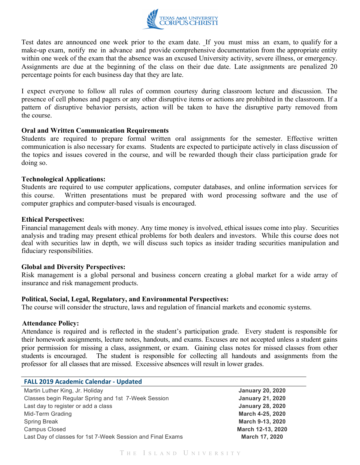

Test dates are announced one week prior to the exam date. If you must miss an exam, to qualify for a make-up exam, notify me in advance and provide comprehensive documentation from the appropriate entity within one week of the exam that the absence was an excused University activity, severe illness, or emergency. Assignments are due at the beginning of the class on their due date. Late assignments are penalized 20 percentage points for each business day that they are late.

I expect everyone to follow all rules of common courtesy during classroom lecture and discussion. The presence of cell phones and pagers or any other disruptive items or actions are prohibited in the classroom. If a pattern of disruptive behavior persists, action will be taken to have the disruptive party removed from the course.

### **Oral and Written Communication Requirements**

Students are required to prepare formal written oral assignments for the semester. Effective written communication is also necessary for exams. Students are expected to participate actively in class discussion of the topics and issues covered in the course, and will be rewarded though their class participation grade for doing so.

### **Technological Applications:**

Students are required to use computer applications, computer databases, and online information services for this course. Written presentations must be prepared with word processing software and the use of computer graphics and computer-based visuals is encouraged.

### **Ethical Perspectives:**

Financial management deals with money. Any time money is involved, ethical issues come into play. Securities analysis and trading may present ethical problems for both dealers and investors. While this course does not deal with securities law in depth, we will discuss such topics as insider trading securities manipulation and fiduciary responsibilities.

#### **Global and Diversity Perspectives:**

Risk management is a global personal and business concern creating a global market for a wide array of insurance and risk management products.

#### **Political, Social, Legal, Regulatory, and Environmental Perspectives:**

The course will consider the structure, laws and regulation of financial markets and economic systems.

#### **Attendance Policy:**

Attendance is required and is reflected in the student's participation grade. Every student is responsible for their homework assignments, lecture notes, handouts, and exams. Excuses are not accepted unless a student gains prior permission for missing a class, assignment, or exam. Gaining class notes for missed classes from other students is encouraged. The student is responsible for collecting all handouts and assignments from the The student is responsible for collecting all handouts and assignments from the professor for all classes that are missed. Excessive absences will result in lower grades.

| <b>FALL 2019 Academic Calendar - Updated</b> |  |
|----------------------------------------------|--|
|----------------------------------------------|--|

| Martin Luther King, Jr. Holiday                            |
|------------------------------------------------------------|
| Classes begin Regular Spring and 1st 7-Week Session        |
| Last day to register or add a class                        |
| Mid-Term Grading                                           |
| <b>Spring Break</b>                                        |
| Campus Closed                                              |
| Last Day of classes for 1st 7-Week Session and Final Exams |

**January 20, 2020** Classes begin Regular Spring and 1st 7-Week Session **January 21, 2020 January 28, 2020 March 4-25, 2020 March 9-13, 2020 March 12-13, 2020 March 17, 2020**